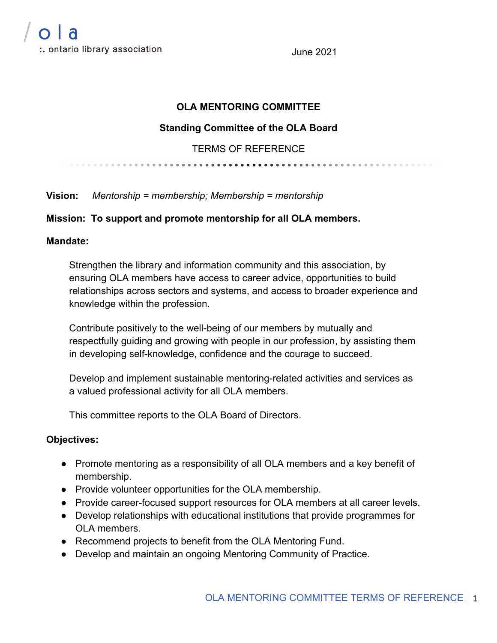June 2021

## **OLA MENTORING COMMITTEE**

### **Standing Committee of the OLA Board**

## TERMS OF REFERENCE

**Vision:** *Mentorship = membership; Membership = mentorship*

#### **Mission: To support and promote mentorship for all OLA members.**

#### **Mandate:**

Strengthen the library and information community and this association, by ensuring OLA members have access to career advice, opportunities to build relationships across sectors and systems, and access to broader experience and knowledge within the profession.

Contribute positively to the well-being of our members by mutually and respectfully guiding and growing with people in our profession, by assisting them in developing self-knowledge, confidence and the courage to succeed.

Develop and implement sustainable mentoring-related activities and services as a valued professional activity for all OLA members.

This committee reports to the OLA Board of Directors.

#### **Objectives:**

- Promote mentoring as a responsibility of all OLA members and a key benefit of membership.
- Provide volunteer opportunities for the OLA membership.
- Provide career-focused support resources for OLA members at all career levels.
- Develop relationships with educational institutions that provide programmes for OLA members.
- Recommend projects to benefit from the OLA Mentoring Fund.
- Develop and maintain an ongoing Mentoring Community of Practice.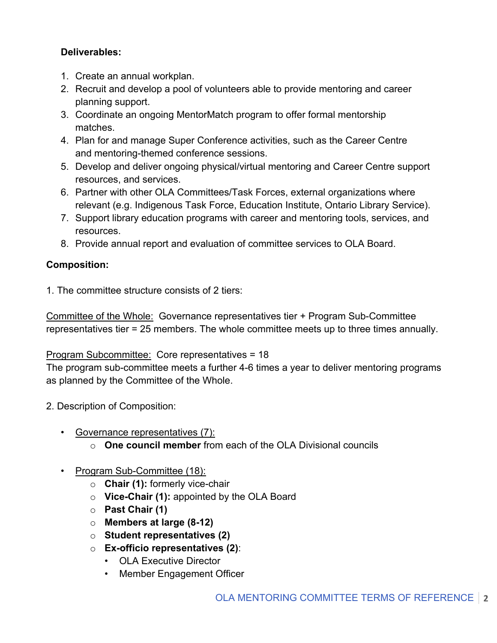## **Deliverables:**

- 1. Create an annual workplan.
- 2. Recruit and develop a pool of volunteers able to provide mentoring and career planning support.
- 3. Coordinate an ongoing MentorMatch program to offer formal mentorship matches.
- 4. Plan for and manage Super Conference activities, such as the Career Centre and mentoring-themed conference sessions.
- 5. Develop and deliver ongoing physical/virtual mentoring and Career Centre support resources, and services.
- 6. Partner with other OLA Committees/Task Forces, external organizations where relevant (e.g. Indigenous Task Force, Education Institute, Ontario Library Service).
- 7. Support library education programs with career and mentoring tools, services, and resources.
- 8. Provide annual report and evaluation of committee services to OLA Board.

# **Composition:**

1. The committee structure consists of 2 tiers:

Committee of the Whole: Governance representatives tier + Program Sub-Committee representatives tier = 25 members. The whole committee meets up to three times annually.

# Program Subcommittee: Core representatives = 18

The program sub-committee meets a further 4-6 times a year to deliver mentoring programs as planned by the Committee of the Whole.

- 2. Description of Composition:
	- Governance representatives (7):
		- o **One council member** from each of the OLA Divisional councils

# • Program Sub-Committee (18):

- o **Chair (1):** formerly vice-chair
- o **Vice-Chair (1):** appointed by the OLA Board
- o **Past Chair (1)**
- o **Members at large (8-12)**
- o **Student representatives (2)**
- o **Ex-officio representatives (2)**:
	- OLA Executive Director
	- Member Engagement Officer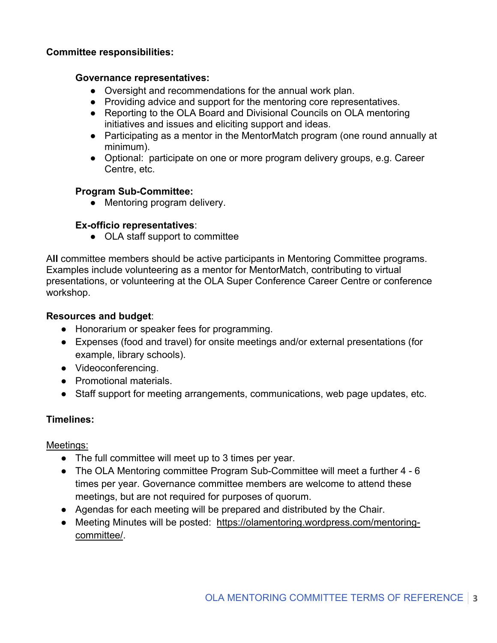#### **Committee responsibilities:**

#### **Governance representatives:**

- Oversight and recommendations for the annual work plan.
- Providing advice and support for the mentoring core representatives.
- Reporting to the OLA Board and Divisional Councils on OLA mentoring initiatives and issues and eliciting support and ideas.
- Participating as a mentor in the MentorMatch program (one round annually at minimum).
- Optional: participate on one or more program delivery groups, e.g. Career Centre, etc.

## **Program Sub-Committee:**

• Mentoring program delivery.

## **Ex-officio representatives**:

• OLA staff support to committee

A**ll** committee members should be active participants in Mentoring Committee programs. Examples include volunteering as a mentor for MentorMatch, contributing to virtual presentations, or volunteering at the OLA Super Conference Career Centre or conference workshop.

## **Resources and budget**:

- Honorarium or speaker fees for programming.
- Expenses (food and travel) for onsite meetings and/or external presentations (for example, library schools).
- Videoconferencing.
- Promotional materials.
- Staff support for meeting arrangements, communications, web page updates, etc.

## **Timelines:**

Meetings:

- The full committee will meet up to 3 times per year.
- The OLA Mentoring committee Program Sub-Committee will meet a further 4 6 times per year. Governance committee members are welcome to attend these meetings, but are not required for purposes of quorum.
- Agendas for each meeting will be prepared and distributed by the Chair.
- Meeting Minutes will be posted: https://olamentoring.wordpress.com/mentoringcommittee/.